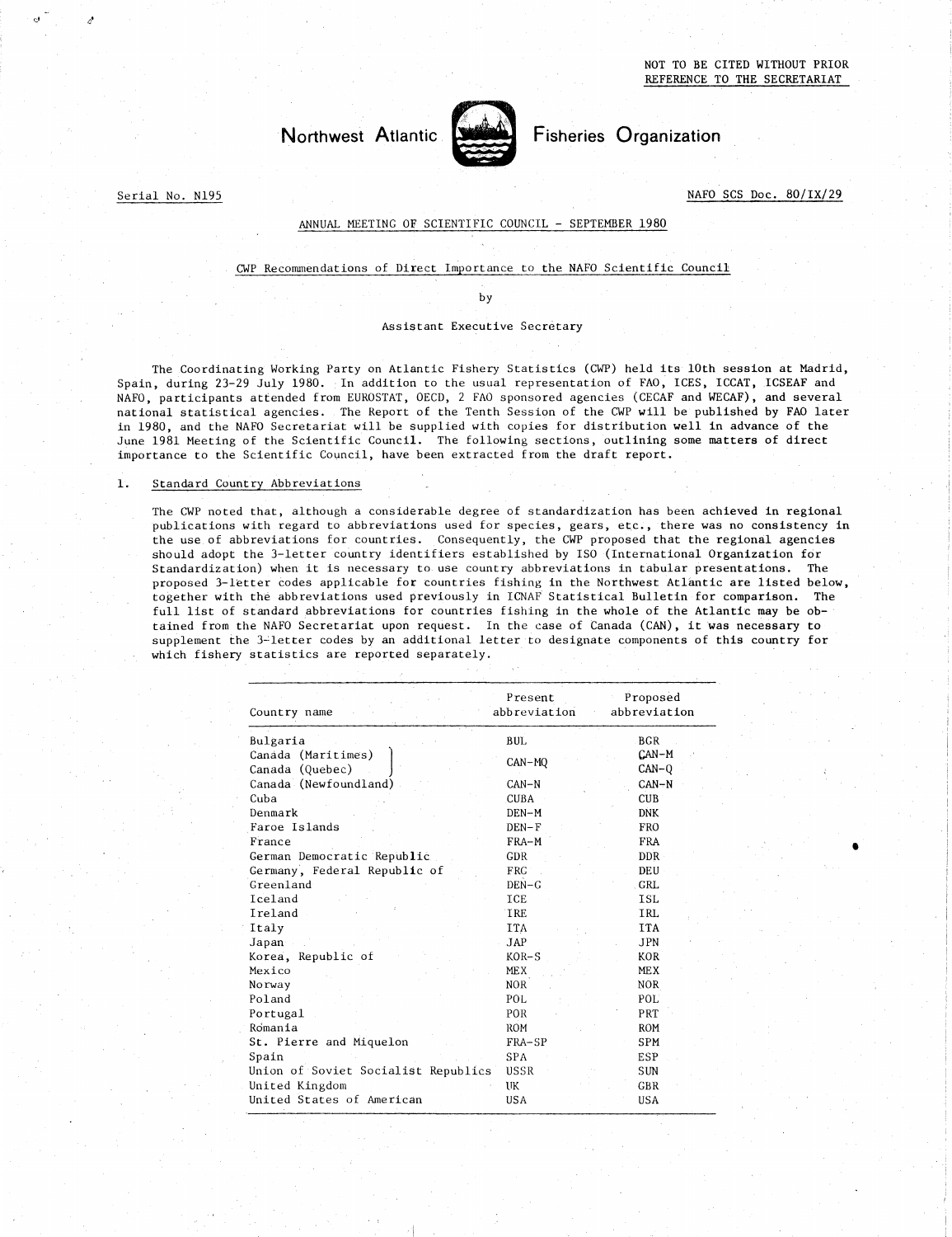

# Northwest Atlantic Fisheries Organization

Serial No. N195

 

### ANNUAL MEETING OF SCIENTIFIC COUNCIL - SEPTEMBER 1980

### CWP Recommendations of Direct Importance to the NAFO Scientific Council

by

### Assistant Executive Secretary

The Coordinating Working Party on Atlantic Fishery Statistics (CWP) held its 10th session at Madrid, Spain, during 23-29 July 1980. In addition to the usual representation of FAO, ICES, ICCAT, ICSEAF and NAFO, participants attended from EUROSTAT, OECD, 2 FAO sponsored agencies (CECAF and WECAF), and several national statistical agencies. The Report of the Tenth Session of the CWP will be published by FAO later in 1980, and the NAFO Secretariat will be supplied with copies for distribution well in advance of the June 1981 Meeting of the Scientific Council. The following sections, outlining some matters of direct importance to the Scientific Council, have been extracted from the draft report. The Coordinating Working Party<br>
Spain, during 23-29 July 1980. In<br>
NAFO, participants attended from EU<br>
national statistical agencies. The<br>
in 1980, and the NAFO Secretariat w<br>
June 1981 Meeting of the Scientific<br>
importan

The CWP noted that, although a considerable degree of standardization has been achieved in regional publications with regard to abbreviations used for species, gears, etc., there was no consistency in the use, of abbreviations for countries. Consequently, the CWP proposed that the regional agencies should adopt the 3-letter country identifiers established by ISO (International Organization for Standardization) when it is necessary to use country abbreviations in tabular presentations. The proposed 3-letter codes applicable for countries fishing in the Northwest Atlantic are listed below, together with the abbreviations used previously in ICNAF Statistical Bulletin for comparison. The full list of standard abbreviations for countries fishing in the whole of the Atlantic may be obtained from the NAFO Secretariat upon request. In the case of Canada (CAN), it was necessary to supplement the 3-letter codes by an additional letter to designate components of this country for which fishery statistics are reported separately. of standardization has be<br>species, gears, etc., the<br>ly, the CWP proposed that<br>lished by ISO (Internation<br>which is taken in the Northwest At<br>ICNAF Statistical Bulleti<br>ishing in the whole of the<br>case of Canada (CAN),<br>er to d rnat, althoug<br>th regard to<br>reviations fo<br>he 3-letter c<br>n) when it is<br>ter codes app<br>the abbreviat<br>tandard abbreviations are<br>3-letter cod<br>statistics are<br>Country name<br>Bulgaria<br>Rulgaria<br>Canada (Marit r species, gears, etc., there<br>
ntly, the CWP proposed that t<br>
ablished by ISO (Internationa<br>
try abbreviations in tabular<br>
fishing in the Northwest Atla<br>
n ICNAF Statistical Bulletin<br>
fishing in the whole of the<br>
n the cas Ne 3-letter country identifiers established by ISO (Internal<br>
n) when it is necessary to use country abbreviations in tabu<br>
ter codes applicable for countries fishing in the Northwest<br>
the abbreviations used previously in

| Country name                          | Present<br>abbreviation | Proposed<br>abbreviation |
|---------------------------------------|-------------------------|--------------------------|
| Bulgaria                              | <b>BUL</b>              | <b>BGR</b>               |
| Canada (Maritimes)<br>Canada (Quebec) | CAN-MQ                  | CAN-M<br>$CAN-Q$         |
| Canada (Newfoundland)                 | $CAN-N$                 | $CAN-N$                  |
| Cuba                                  | <b>CUBA</b>             | <b>CUB</b>               |
| Denmark                               | DEN-M                   | <b>DNK</b>               |
| Faroe Islands                         | $DEN-F$                 | <b>FRO</b>               |
| France                                | FRA-M                   | <b>FRA</b>               |
| German Democratic Republic            | <b>GDR</b>              | DDR.                     |
| Germany, Federal Republic of          | <b>FRG</b>              | DEU                      |
| Greenland                             | $DEN-G$                 | <b>GRL</b>               |
| Iceland                               | ICE                     | <b>ISL</b>               |
| Ireland                               | <b>TRE</b>              | <b>IRL</b>               |
| Italy                                 | <b>ITA</b>              | <b>ITA</b>               |
| Japan                                 | <b>JAP</b>              | <b>JPN</b>               |
| Korea, Republic of                    | $KOR-S$                 | KOR <sup>1</sup>         |
| Mexico                                | <b>MEX</b>              | <b>MEX</b>               |
| Norway                                | <b>NOR</b>              | <b>NOR</b>               |
| Poland                                | POL                     | POL                      |
| Portugal                              | POR                     | PRT                      |
| Romania                               | <b>ROM</b>              | <b>ROM</b>               |
| St. Pierre and Miquelon               | FRA-SP                  | SPM                      |
| Spain                                 | <b>SPA</b>              | <b>ESP</b>               |
| Union of Soviet Socialist Republics   | USSR                    | <b>SUN</b>               |
| United Kingdom                        | UK                      | <b>GBR</b>               |
| United States of American             | <b>USA</b>              | <b>USA</b>               |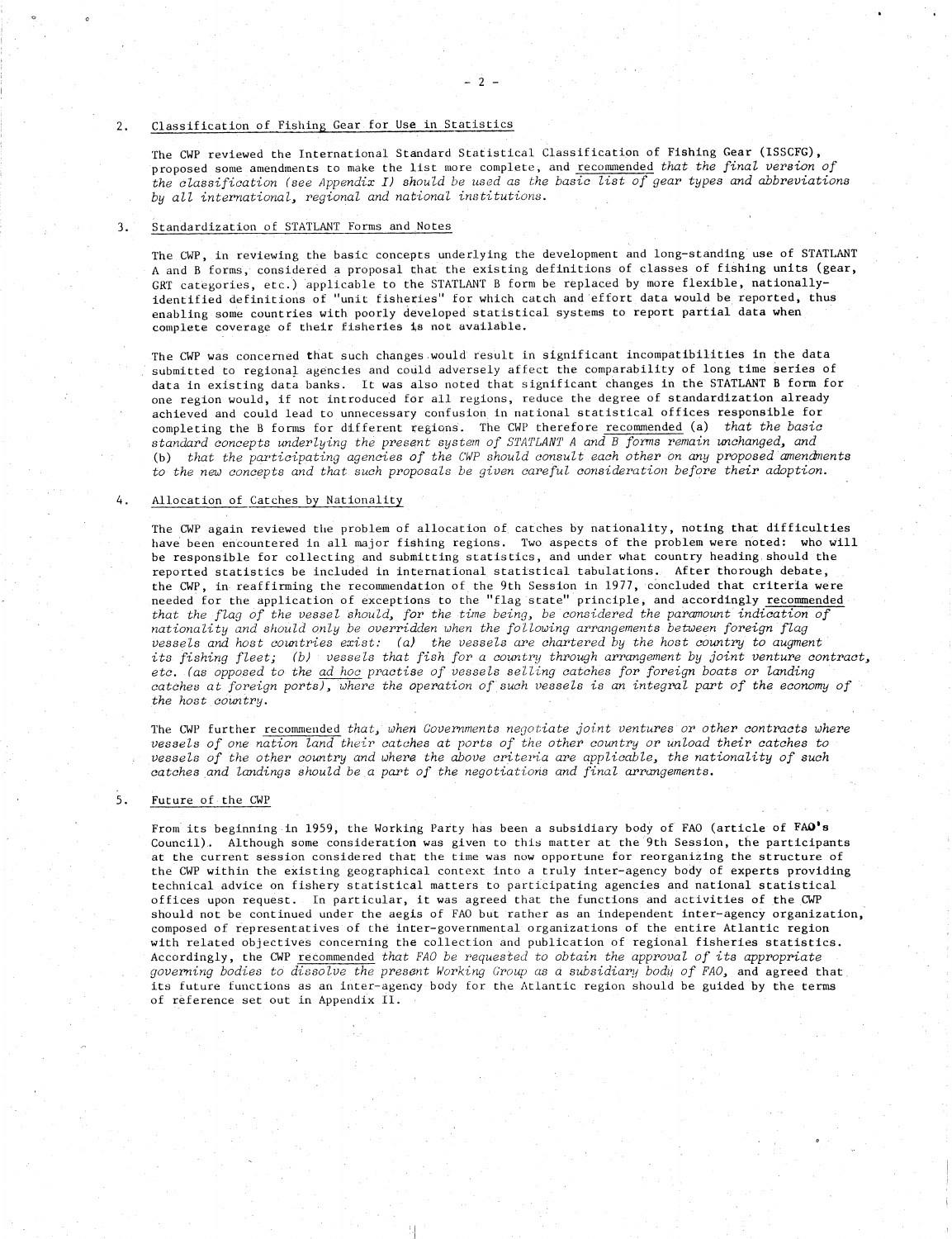2. Classification of Fishing Gear for Use in Statistics<br>The CWP reviewed the International Standard Statistic<br>proposed some amendments to make the list more compl<br>the classification (see Appendix I) should be used a The CWP reviewed the International Standard Statistical Classification of Fishing Gear (ISSCFG), proposed some amendments to make the list more complete, and recommended *that the final version of the classification (see Appendix I) should be used as the basic list of gear types and abbreviations by all international, regional and national institutions.*

### Standardization of STATLANT Forms and Notes

The CWP, in reviewing the basic concepts underlying the development and long-standing use of STATLANT A and B forms, considered a proposal that the existing definitions of classes of fishing units (gear, GRT categories, etc.) applicable to the STATLANT B form be replaced by more flexible, nationallyidentified definitions of "unit fisheries" for which catch and effort data would be reported, thus enabling some countries with poorly developed statistical systems to report partial data when complete coverage of their fisheries is not available.

The CWP was concerned that such changes would result in significant incompatibilities in the data submitted to regional agencies and could adversely affect the comparability of long time series of data in existing data banks. It was also noted that significant changes in the STATLANT B form for one region would, if not introduced for all regions, reduce the degree of standardization already achieved and could lead to unnecessary confusion in national statistical offices responsible for completing the B forms for different regions. The CWP therefore recommended (a) *that the basic standard concepts underlying the present system of STATLANT A and B forms remain unchanged, and* (b) *that the participating agencies of the CWP should consult each other on* any *proposed amendMents* to the new concepts and that such proposals be given careful consideration before their adoption.

### Allocation of Catches by Nationality 4.

The CWP again reviewed the problem of allocation of catches by nationality, noting that difficulties have been encountered in all major fishing regions. Two aspects of the problem were noted: who will be responsible for collecting and submitting statistics, and under what country heading should the reported statistics be included in international statistical tabulations. After thorough debate, the CWP, in reaffirming the recommendation of the 9th Session in 1977, concluded that criteria were needed for the application of exceptions to the "flag state" principle, and accordingly recommended *that the flag of the vessel should, for the time being, be considered the paramount indication of nationality and should only be overridden when the following arrangements between foreign flag vessels and host countries exist: (a) the vessels are chartered by the host country to augment its fishing fleet; (b) • vessels that fish for a country through arrangement by joint venture contract, etc. (as opposed to the ad hoc practise of vessels selling catches for foreign boats or landing catches at foreign ports), where the operation of such vessels is an integral part of the economy of the host country.*

The CWP further recommended *that, when Governments negotiate joint ventures or other contracts where vessels of one nation land their catches at ports of the other country or unload their catches to vessels of the other country and where the above criteria are applicable, the nationality of such catches and landings should be a part of the negotiations and* final *arrangements.*

### $5.$ Future of the CWP

From its beginning in 1959, the Working Party has been a subsidiary body of FAO (article of FAO's Council).. Although some consideration was given to this matter at the 9th Session, the participants at the current session considered that the time was now opportune for reorganizing the structure of the CWP within the existing geographical context into a truly inter-agency body of experts providing technical advice on fishery statistical matters to participating agencies and national statistical offices upon request. in particular, it was agreed that the functions and activities of the CWP should not be continued under the aegis of FAO but rather as an independent inter-agency organization, composed of representatives of the inter-governmental organizations of the entire Atlantic region with related objectives concerning the collection and publication of regional fisheries statistics. Accordingly, the CWP recommended *that FAO be requested to obtain the approval of its appropriate governing bodies to dissolve the present Working Group as a subsidiary body of FAO,* and agreed that its future functions as an inter-agency body for the Atlantic region should be guided by the terms of reference set out in Appendix II.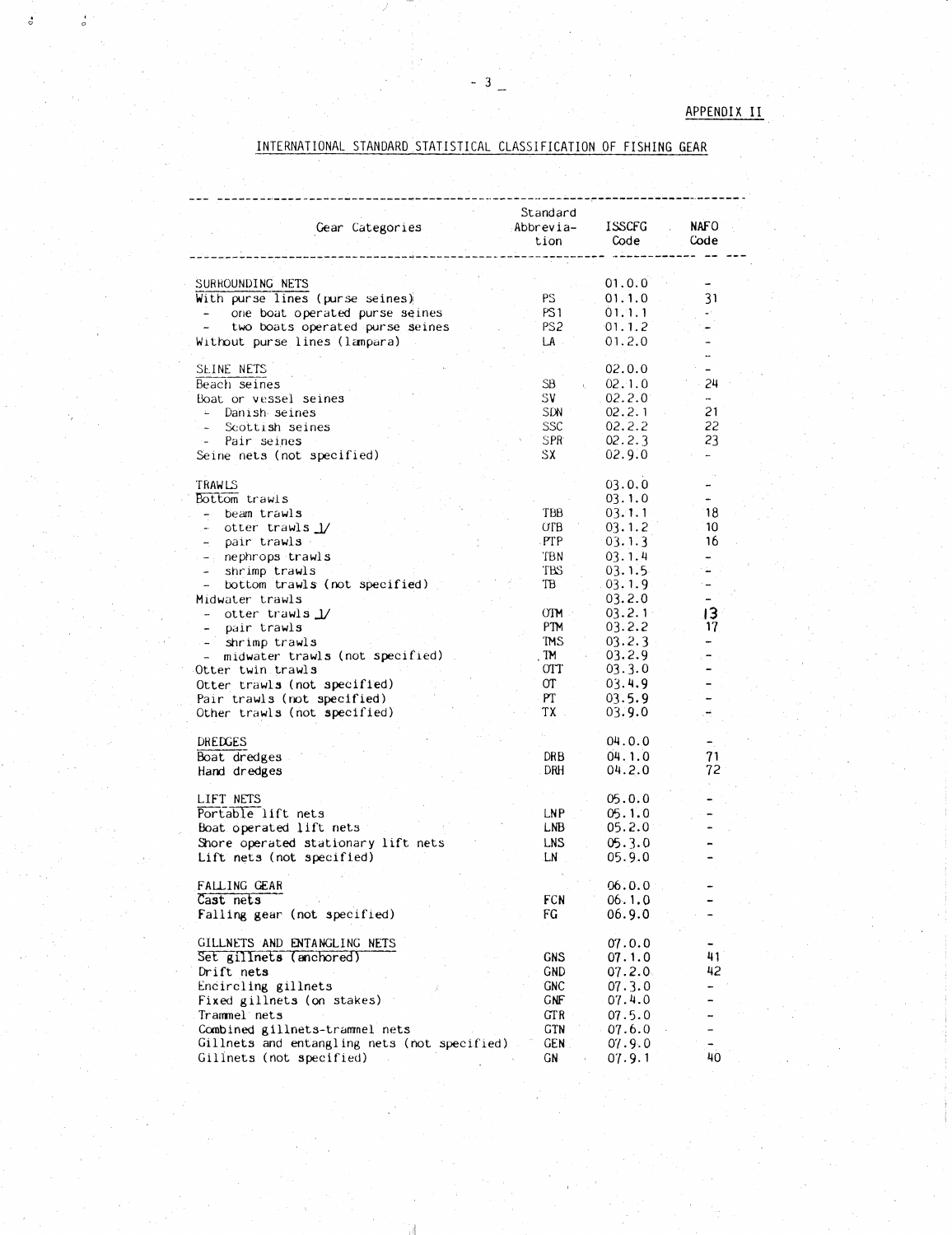| - 3                                                                                                                                                                                                                                                                                                                                                                                                                                        |                                                                                                              |                                                                                                                                                                        | APPENDI:                                                                           |
|--------------------------------------------------------------------------------------------------------------------------------------------------------------------------------------------------------------------------------------------------------------------------------------------------------------------------------------------------------------------------------------------------------------------------------------------|--------------------------------------------------------------------------------------------------------------|------------------------------------------------------------------------------------------------------------------------------------------------------------------------|------------------------------------------------------------------------------------|
| INTERNATIONAL STANDARD STATISTICAL CLASSIFICATION OF FISHING GEAR                                                                                                                                                                                                                                                                                                                                                                          |                                                                                                              |                                                                                                                                                                        |                                                                                    |
|                                                                                                                                                                                                                                                                                                                                                                                                                                            |                                                                                                              |                                                                                                                                                                        |                                                                                    |
| Gear Categories                                                                                                                                                                                                                                                                                                                                                                                                                            | Standard<br>Abbrevia-<br>tion                                                                                | <b>ISSCFG</b><br>Code                                                                                                                                                  | NAF O<br>Code                                                                      |
| SURROUNDING NETS<br>With purse lines (purse seines)<br>one boat operated purse seines<br>two boats operated purse seines<br>Without purse lines (lampara)                                                                                                                                                                                                                                                                                  | PS.<br>PS <sub>1</sub><br>PS <sub>2</sub><br>LA                                                              | 01.0.0<br>01.1.0<br>01.1.1<br>01.1.2<br>01.2.0                                                                                                                         | 31<br>ωr.                                                                          |
| SEINE NETS<br>Beach seines<br>Boat or vessel seines<br>Danish seines<br>Scottish seines<br>Pair seines<br>Seine nets (not specified)                                                                                                                                                                                                                                                                                                       | SB.<br>SV<br>SDN -<br>SSC<br>SPR <sup>.</sup><br>SX.                                                         | 02.0.0<br>02.1.0<br>02.2.0<br>02.2.1<br>02.2.2<br>02.2.3<br>02.9.0                                                                                                     | <br>$\overline{\phantom{0}}$<br>24<br>$\ddot{\phantom{0}}$<br>21<br>22<br>23<br>m. |
| TRAWLS<br>Bottom trawls<br>- beam trawl <b>s</b><br>otter trawls $1/$<br>$\sim 10^{-11}$<br>pair trawls<br>$\sim$ 10 $\pm$<br>$-$ nephrops trawls<br>shrimp trawls<br>bottom trawls (not specified)<br>Midwater trawls<br>otter trawls $\mathbf{J}$<br>pair trawls<br>shrimp trawls<br>midwater trawls (not specified)<br>Otter twin trawls<br>Otter trawls (not specified)<br>Pair trawls (not specified)<br>Other trawls (not specified) | TBB<br>OTB.<br>PTP<br>TBN<br>TBS<br>TB<br><b>OTM</b><br>PTM<br>TMS<br>TM.<br>$_{\rm{OIT}}$<br>ΟT<br>PT<br>TX | 03.0.0<br>03.1.0<br>03.1.1<br>03.1.2<br>03.1.3<br>03.1.4<br>03.1.5<br>03.1.9<br>03.2.0<br>03.2.1<br>03.2.2<br>03.2.3<br>03.2.9<br>03.3.0<br>03.4.9<br>03.5.9<br>03.9.0 | 18<br>10<br>16<br>13<br>17                                                         |
| DREDGES<br>Boat dredges<br>Hand dredges                                                                                                                                                                                                                                                                                                                                                                                                    | DR B<br>DRH                                                                                                  | 04.0.0<br>04.1.0<br>04.2.0                                                                                                                                             | 71<br>72                                                                           |
| LIFT NETS<br>Portable lift nets<br>Boat operated lift nets<br>Shore operated stationary lift nets<br>Lift nets (not specified)                                                                                                                                                                                                                                                                                                             | LNP.<br>LNB.<br><b>LNS</b><br>LN                                                                             | 05.0.0<br>05.1.0<br>05.2.0<br>05.3.0<br>05.9.0                                                                                                                         |                                                                                    |
| FALLING GEAR<br>Cast nets<br>Falling gear (not specified)                                                                                                                                                                                                                                                                                                                                                                                  | FCN<br>FG                                                                                                    | 06.0.0<br>06.1.0<br>06.9.0                                                                                                                                             |                                                                                    |
| GILLNETS AND ENTANGLING NETS<br>Set gillnets (anchored)<br>Drift nets<br>Encircling gillnets<br>Fixed gillnets (on stakes)<br>Trammel nets<br>Combined gillnets-trammel nets<br>Gillnets and entangling nets (not specified)<br>Gillnets (not specified)                                                                                                                                                                                   | <b>GNS</b><br><b>GND</b><br><b>GNC</b><br><b>GNF</b><br>GT R<br><b>GTN</b><br>GEN.<br>GΝ                     | 07.0.0<br>07.1.0<br>07.2.0<br>07.3.0<br>07.4.0<br>07.5.0<br>07.6.0<br>07.9.0<br>07.9.1                                                                                 | 41<br>42<br>-<br><br>-<br>40                                                       |

ં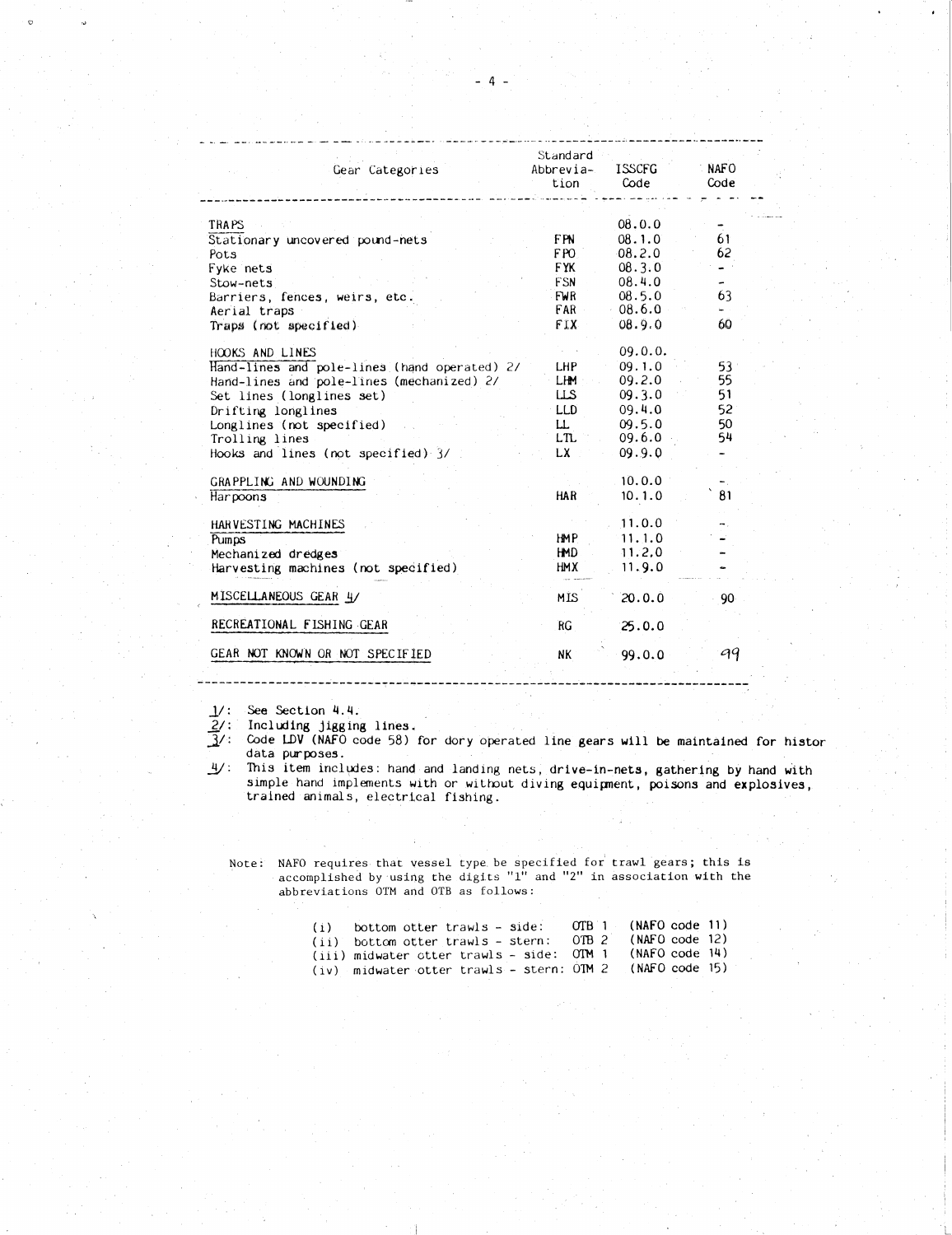|                                                        | Standard    |                            |                          |
|--------------------------------------------------------|-------------|----------------------------|--------------------------|
| Gear Categories                                        | Abbrevia-   | <b>ISSCFG</b>              | NAFO                     |
| aawaa ayaanna ayaa ayaa loo aan ahaan 2000 ahaa ahaa A | tion        | Code<br>أدويا لماسا الماسو | Code                     |
| TRAPS                                                  |             | 08.0.0                     | $\blacksquare$           |
| Stationary uncovered pound-nets                        | FPN.        | 08.1.0                     | 61                       |
| Pots                                                   | FPO 1       | 08.2.0                     | 62                       |
| Fyke nets                                              | <b>FYK</b>  | 08.3.0                     | $\blacksquare$           |
| Stow-nets                                              | <b>FSN</b>  | 08.4.0                     | $\overline{\phantom{a}}$ |
| Barriers, fences, weirs, etc.                          | FWR.        | 08.5.0                     | 63                       |
| Aerial traps                                           | <b>FAR</b>  | $-08.6.0$                  | $\omega$ .               |
| $Traps$ (not specified)                                | FIX.        | 08.9.0                     | 60                       |
| HOOKS AND LINES                                        |             | 09.0.0.                    |                          |
| Hand-lines and pole-lines (hand operated) 2/           | LHP .       | 09.1.0                     | 53 <sup>°</sup>          |
| Hand-lines and pole-lines (mechanized) 2/              | LHM .       | 09.2.0                     | 55                       |
| Set lines (longlines set)                              | کلنا        | 09.3.0                     | 51<br>52                 |
| Drifting longlines                                     | LLD.        | 09.4.0                     | 50                       |
| Longlines (not specified)                              | Ш.<br>LTL - | 09.5.0<br>09.6.0 .         | 54                       |
| Trolling lines<br>Hooks and lines (not specified) 3/   | LX -        | 09.9.0                     | $\overline{\phantom{a}}$ |
|                                                        |             |                            |                          |
| GRAPPLING AND WOUNDING                                 |             | 10.0.0                     |                          |
| Harpoons                                               | HAR I       | 10.1.0                     | 81                       |
| HARVESTING MACHINES                                    |             | 11.0.0                     | о,<br>н.                 |
| Pumps                                                  | HMP.        | 11.1.0                     |                          |
| Mechanized dredges                                     | HMD.        | 11.2.0                     |                          |
| Harvesting machines (not specified)                    | НМХ         | 11.9.0                     |                          |
| MISCELLANEOUS GEAR 4/                                  | MÍS.        | 20.0.0                     | 90                       |
| RECREATIONAL FISHING GEAR                              | RG          | 25.0.0                     |                          |
|                                                        |             |                            |                          |
| GEAR NOT KNOWN OR NOT SPECIFIED                        | NК          | 99.0.0                     | 99                       |

2/: Including jigging lines.

 $\frac{1}{2}$ : See Section 4.4.<br> $\frac{2}{3}$ : Including jigging<br> $\frac{3}{4}$ : Code LDV (NAFO co  $\mathfrak{F}/\mathfrak{c}$  Code LDV (NAFO code 58) for dory operated line gears will be maintained for histor data purposes.

21/: This item includes: hand and landing nets, drive-in-nets, gathering by hand with simple hand implements with or without diving equipment, poisons and explosives, trained animals, electrical fishing.

Note: NAFO requires that vessel type be specified for trawl gears; this is accomplished by using the digits "1" and "2" in association with the abbreviations OTM and OTB as follows:

| jigging lines.<br>(NAFO code 58) for dory operated line gears will be maintain<br>oses.                                                                             |                  |                |                |  |
|---------------------------------------------------------------------------------------------------------------------------------------------------------------------|------------------|----------------|----------------|--|
| includes: hand and landing nets, drive-in-nets, gathering b<br>nd implements with or without diving equipment, poisons and<br>nimals, electrical fishing.           |                  |                |                |  |
|                                                                                                                                                                     |                  |                |                |  |
|                                                                                                                                                                     |                  |                |                |  |
| requires that vessel type be specified for trawl gears; this<br>mplished by using the digits "1" and "2" in association with t<br>eviations OTM and OTB as follows: |                  |                |                |  |
| bottom otter trawls - side:<br>(i)                                                                                                                                  | OTB <sub>1</sub> | (NAFO code 11) |                |  |
| $(i)$ bottom otter trawls - stern:                                                                                                                                  | OTB <sub>2</sub> | (MAFO code 12) |                |  |
| (iii) midwater otter trawls - side:                                                                                                                                 | OTM <sub>1</sub> | (NAFO code 14) |                |  |
| (iv) midwater otter trawls - stern:                                                                                                                                 | OM <sub>2</sub>  |                | (NAFO code 15) |  |
|                                                                                                                                                                     |                  |                |                |  |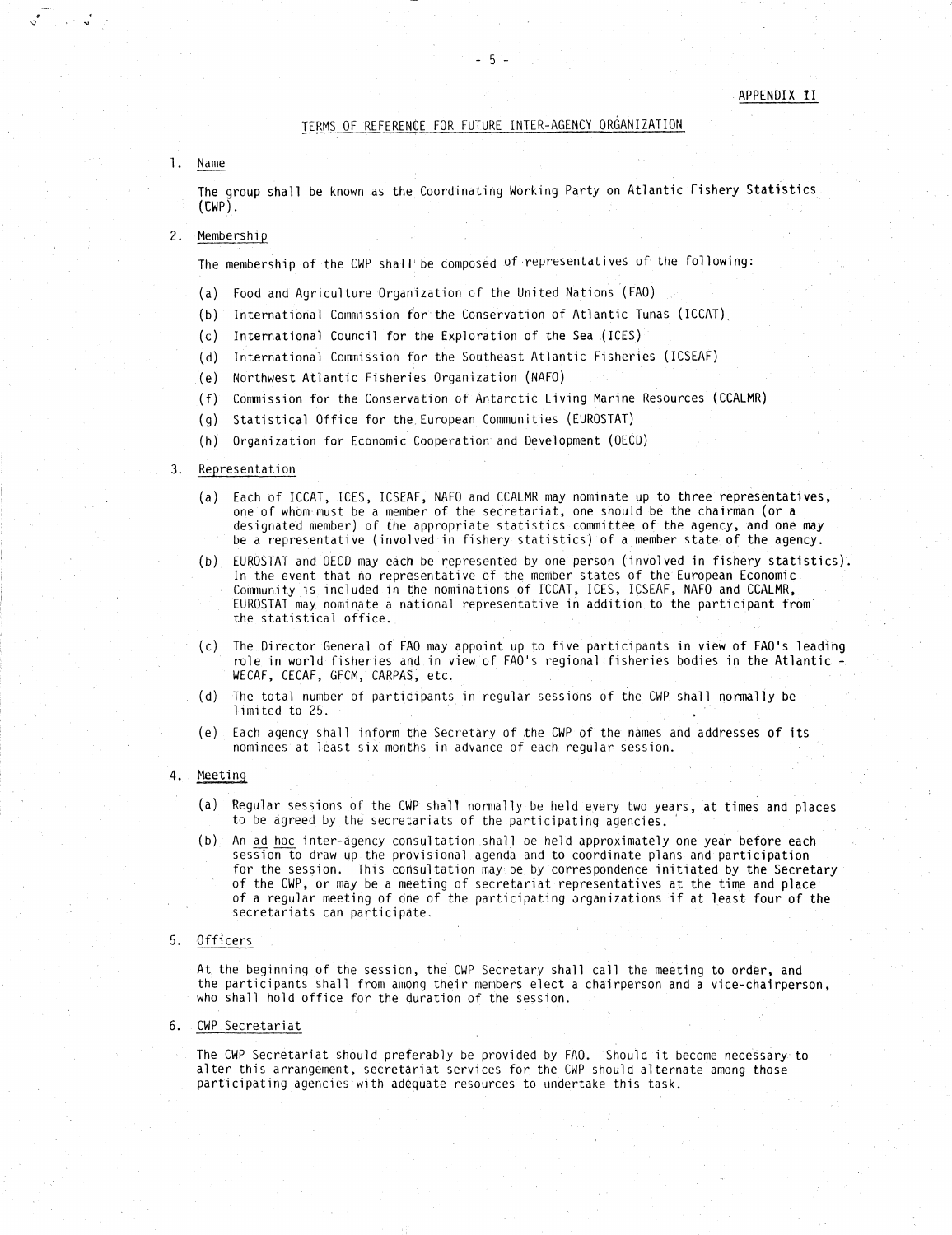### TERMS OF REFERENCE FOR FUTURE INTER-AGENCY ORGANIZATION

 $-5.$ 

1. Name

 $\begin{array}{c} \bullet \end{array} \begin{array}{c} \bullet \end{array} \begin{array}{c} \bullet \end{array}$ 

The group shall be known as the Coordinating Working Party on Atlantic Fishery Statistics (CWP).

## 2. Membership

The membership of the CWP shall'be composed of . representatives of the following:

- Food and Agriculture Organization of the United Nations (FAO)
- International Commission for the Conservation of Atlantic Tunas (ICCAT),
- (c) International Council for the Exploration of the Sea (ICES)
- (d) International Commission for the Southeast Atlantic Fisheries (ICSEAF)
- (e) Northwest Atlantic Fisheries Organization (NAFO)
- Commission for the Conservation of Antarctic Living Marine Resources (CCALMR)
- (g) Statistical Office for the European Communities (EUROSTAT)
- (h) Organization for Economic Cooperation and Development (OECD)

### 3. Representation

- Each of ICCAT, ICES, ICSEAF, NAFO and CCALMR may nominate up to three representatives, one of whom must be a member of the secretariat, one should be the chairman (or a designated member) of the appropriate statistics committee of the agency, and one may be a representative (involved in fishery statistics) of a member state of the agency.
- EUROSTAT and OECD may each be represented *by* one person (involved in fishery statistics  $(b)$ In the event that no representative of the member states of the European Economic. Community is included in the nominations of ICCAT, ICES, ICSEAF, NAFO and CCALMR, EUROSTAT may nominate a national representative in addition, to the participant from' the statistical office.
- (c) The Director General of FAO may appoint up to five participants in view of FAO's leading role in world fisheries and in view of FAO's regional fisheries bodies in the Atlantic - WECAF, CECAF, GFCM, CARPAS, etc.
- . (d) The total number of participants in regular sessions of the CWP shall normally be limited to 25.
- Each agency shall inform the Secretary of the CWP of the names and addresses of its nominees at least six months in advance of each regular session.
- 4. Meeting
	- (a) Regular sessions of the CWP shall normally be held every two years, at times and places to be agreed by the secretariats of the participating agencies.
	- An ad hoc inter-agency consultation shall be held approximately one year before each session to draw up the provisional agenda and to coordinate plans and participation for the session. This consultation may be by correspondence initiated by the Secretary of the CWP, or may be a meeting of secretariat representatives at the time and place' of a regular meeting of one of the participating organizations if at least four of the secretariats can participate.

### 5. Officers

At the beginning of the session, the CWP Secretary shall call the meeting to order, and the participants shall from among their members elect a chairperson and a vice-chairperson, who shall hold office for the duration of the session.

### 6. CWP Secretariat

The CWP Secretariat should preferably be provided by FAO. Should it become necessary: to alter this arrangement, secretariat services for the CWP should alternate among those participating agencies with adequate resources to undertake this task.